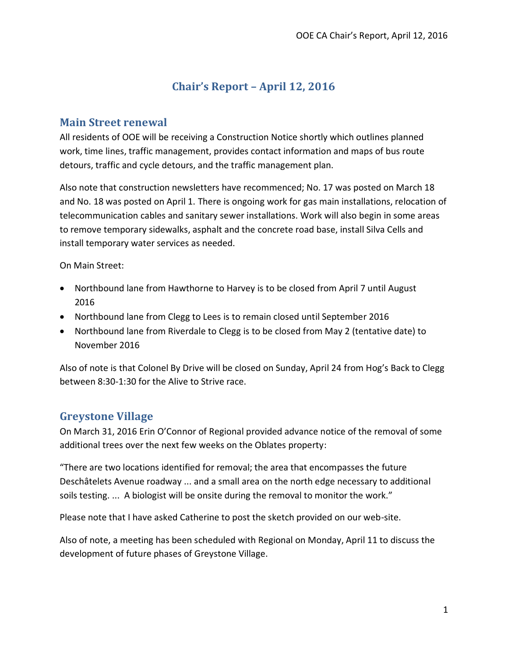# **Chair's Report – April 12, 2016**

#### **Main Street renewal**

All residents of OOE will be receiving a Construction Notice shortly which outlines planned work, time lines, traffic management, provides contact information and maps of bus route detours, traffic and cycle detours, and the traffic management plan.

Also note that construction newsletters have recommenced; No. 17 was posted on March 18 and No. 18 was posted on April 1. There is ongoing work for gas main installations, relocation of telecommunication cables and sanitary sewer installations. Work will also begin in some areas to remove temporary sidewalks, asphalt and the concrete road base, install Silva Cells and install temporary water services as needed.

On Main Street:

- Northbound lane from Hawthorne to Harvey is to be closed from April 7 until August 2016
- Northbound lane from Clegg to Lees is to remain closed until September 2016
- Northbound lane from Riverdale to Clegg is to be closed from May 2 (tentative date) to November 2016

Also of note is that Colonel By Drive will be closed on Sunday, April 24 from Hog's Back to Clegg between 8:30-1:30 for the Alive to Strive race.

## **Greystone Village**

On March 31, 2016 Erin O'Connor of Regional provided advance notice of the removal of some additional trees over the next few weeks on the Oblates property:

"There are two locations identified for removal; the area that encompasses the future Deschâtelets Avenue roadway ... and a small area on the north edge necessary to additional soils testing. ... A biologist will be onsite during the removal to monitor the work."

Please note that I have asked Catherine to post the sketch provided on our web-site.

Also of note, a meeting has been scheduled with Regional on Monday, April 11 to discuss the development of future phases of Greystone Village.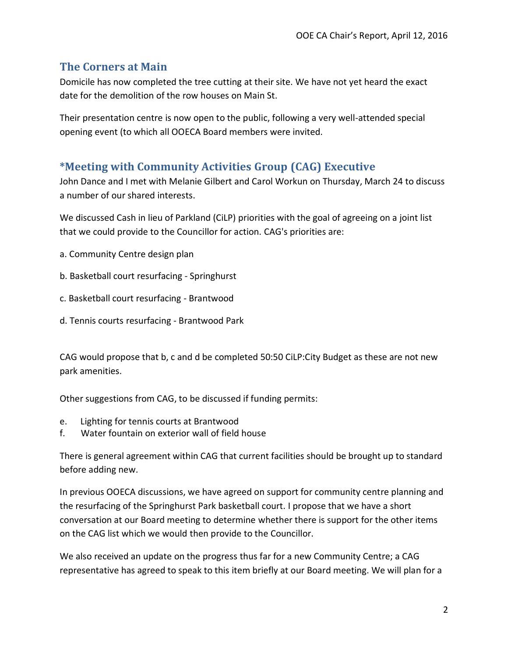#### **The Corners at Main**

Domicile has now completed the tree cutting at their site. We have not yet heard the exact date for the demolition of the row houses on Main St.

Their presentation centre is now open to the public, following a very well-attended special opening event (to which all OOECA Board members were invited.

### **\*Meeting with Community Activities Group (CAG) Executive**

John Dance and I met with Melanie Gilbert and Carol Workun on Thursday, March 24 to discuss a number of our shared interests.

We discussed Cash in lieu of Parkland (CiLP) priorities with the goal of agreeing on a joint list that we could provide to the Councillor for action. CAG's priorities are:

- a. Community Centre design plan
- b. Basketball court resurfacing Springhurst
- c. Basketball court resurfacing Brantwood
- d. Tennis courts resurfacing Brantwood Park

CAG would propose that b, c and d be completed 50:50 CiLP:City Budget as these are not new park amenities.

Other suggestions from CAG, to be discussed if funding permits:

- e. Lighting for tennis courts at Brantwood
- f. Water fountain on exterior wall of field house

There is general agreement within CAG that current facilities should be brought up to standard before adding new.

In previous OOECA discussions, we have agreed on support for community centre planning and the resurfacing of the Springhurst Park basketball court. I propose that we have a short conversation at our Board meeting to determine whether there is support for the other items on the CAG list which we would then provide to the Councillor.

We also received an update on the progress thus far for a new Community Centre; a CAG representative has agreed to speak to this item briefly at our Board meeting. We will plan for a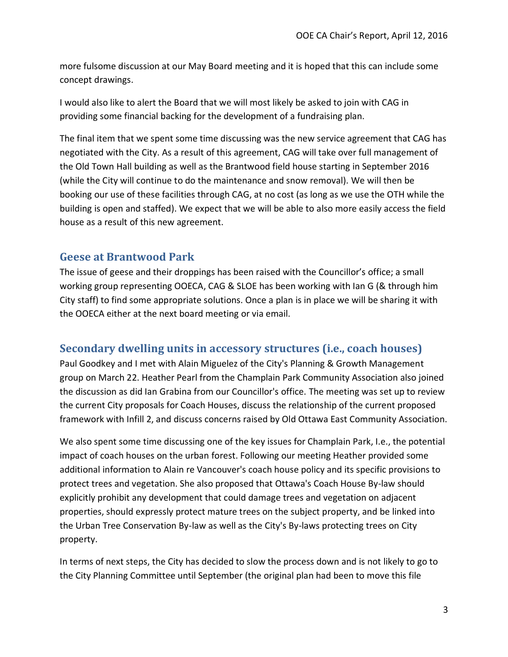more fulsome discussion at our May Board meeting and it is hoped that this can include some concept drawings.

I would also like to alert the Board that we will most likely be asked to join with CAG in providing some financial backing for the development of a fundraising plan.

The final item that we spent some time discussing was the new service agreement that CAG has negotiated with the City. As a result of this agreement, CAG will take over full management of the Old Town Hall building as well as the Brantwood field house starting in September 2016 (while the City will continue to do the maintenance and snow removal). We will then be booking our use of these facilities through CAG, at no cost (as long as we use the OTH while the building is open and staffed). We expect that we will be able to also more easily access the field house as a result of this new agreement.

#### **Geese at Brantwood Park**

The issue of geese and their droppings has been raised with the Councillor's office; a small working group representing OOECA, CAG & SLOE has been working with Ian G (& through him City staff) to find some appropriate solutions. Once a plan is in place we will be sharing it with the OOECA either at the next board meeting or via email.

#### **Secondary dwelling units in accessory structures (i.e., coach houses)**

Paul Goodkey and I met with Alain Miguelez of the City's Planning & Growth Management group on March 22. Heather Pearl from the Champlain Park Community Association also joined the discussion as did Ian Grabina from our Councillor's office. The meeting was set up to review the current City proposals for Coach Houses, discuss the relationship of the current proposed framework with Infill 2, and discuss concerns raised by Old Ottawa East Community Association.

We also spent some time discussing one of the key issues for Champlain Park, I.e., the potential impact of coach houses on the urban forest. Following our meeting Heather provided some additional information to Alain re Vancouver's coach house policy and its specific provisions to protect trees and vegetation. She also proposed that Ottawa's Coach House By-law should explicitly prohibit any development that could damage trees and vegetation on adjacent properties, should expressly protect mature trees on the subject property, and be linked into the Urban Tree Conservation By-law as well as the City's By-laws protecting trees on City property.

In terms of next steps, the City has decided to slow the process down and is not likely to go to the City Planning Committee until September (the original plan had been to move this file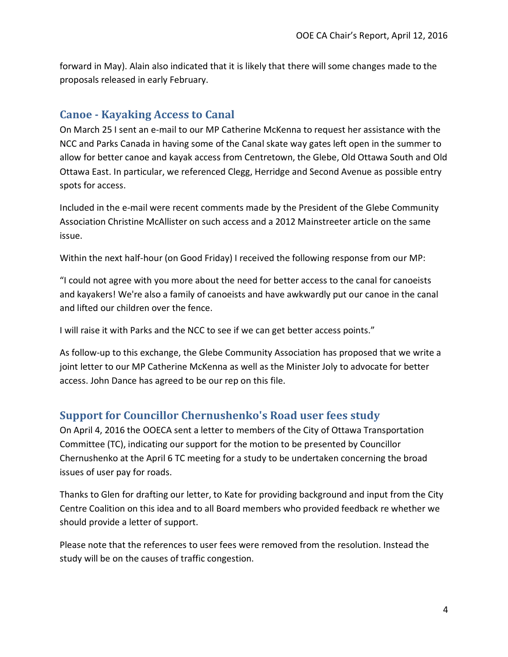forward in May). Alain also indicated that it is likely that there will some changes made to the proposals released in early February.

#### **Canoe - Kayaking Access to Canal**

On March 25 I sent an e-mail to our MP Catherine McKenna to request her assistance with the NCC and Parks Canada in having some of the Canal skate way gates left open in the summer to allow for better canoe and kayak access from Centretown, the Glebe, Old Ottawa South and Old Ottawa East. In particular, we referenced Clegg, Herridge and Second Avenue as possible entry spots for access.

Included in the e-mail were recent comments made by the President of the Glebe Community Association Christine McAllister on such access and a 2012 Mainstreeter article on the same issue.

Within the next half-hour (on Good Friday) I received the following response from our MP:

"I could not agree with you more about the need for better access to the canal for canoeists and kayakers! We're also a family of canoeists and have awkwardly put our canoe in the canal and lifted our children over the fence.

I will raise it with Parks and the NCC to see if we can get better access points."

As follow-up to this exchange, the Glebe Community Association has proposed that we write a joint letter to our MP Catherine McKenna as well as the Minister Joly to advocate for better access. John Dance has agreed to be our rep on this file.

## **Support for Councillor Chernushenko's Road user fees study**

On April 4, 2016 the OOECA sent a letter to members of the City of Ottawa Transportation Committee (TC), indicating our support for the motion to be presented by Councillor Chernushenko at the April 6 TC meeting for a study to be undertaken concerning the broad issues of user pay for roads.

Thanks to Glen for drafting our letter, to Kate for providing background and input from the City Centre Coalition on this idea and to all Board members who provided feedback re whether we should provide a letter of support.

Please note that the references to user fees were removed from the resolution. Instead the study will be on the causes of traffic congestion.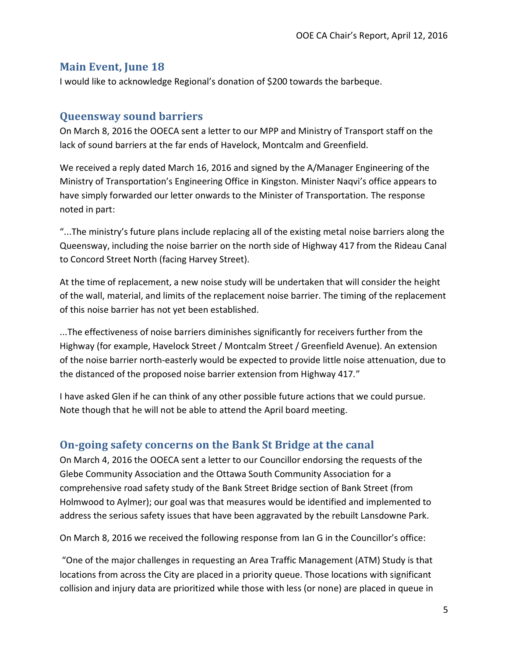#### **Main Event, June 18**

I would like to acknowledge Regional's donation of \$200 towards the barbeque.

#### **Queensway sound barriers**

On March 8, 2016 the OOECA sent a letter to our MPP and Ministry of Transport staff on the lack of sound barriers at the far ends of Havelock, Montcalm and Greenfield.

We received a reply dated March 16, 2016 and signed by the A/Manager Engineering of the Ministry of Transportation's Engineering Office in Kingston. Minister Naqvi's office appears to have simply forwarded our letter onwards to the Minister of Transportation. The response noted in part:

"...The ministry's future plans include replacing all of the existing metal noise barriers along the Queensway, including the noise barrier on the north side of Highway 417 from the Rideau Canal to Concord Street North (facing Harvey Street).

At the time of replacement, a new noise study will be undertaken that will consider the height of the wall, material, and limits of the replacement noise barrier. The timing of the replacement of this noise barrier has not yet been established.

...The effectiveness of noise barriers diminishes significantly for receivers further from the Highway (for example, Havelock Street / Montcalm Street / Greenfield Avenue). An extension of the noise barrier north-easterly would be expected to provide little noise attenuation, due to the distanced of the proposed noise barrier extension from Highway 417."

I have asked Glen if he can think of any other possible future actions that we could pursue. Note though that he will not be able to attend the April board meeting.

## **On-going safety concerns on the Bank St Bridge at the canal**

On March 4, 2016 the OOECA sent a letter to our Councillor endorsing the requests of the Glebe Community Association and the Ottawa South Community Association for a comprehensive road safety study of the Bank Street Bridge section of Bank Street (from Holmwood to Aylmer); our goal was that measures would be identified and implemented to address the serious safety issues that have been aggravated by the rebuilt Lansdowne Park.

On March 8, 2016 we received the following response from Ian G in the Councillor's office:

"One of the major challenges in requesting an Area Traffic Management (ATM) Study is that locations from across the City are placed in a priority queue. Those locations with significant collision and injury data are prioritized while those with less (or none) are placed in queue in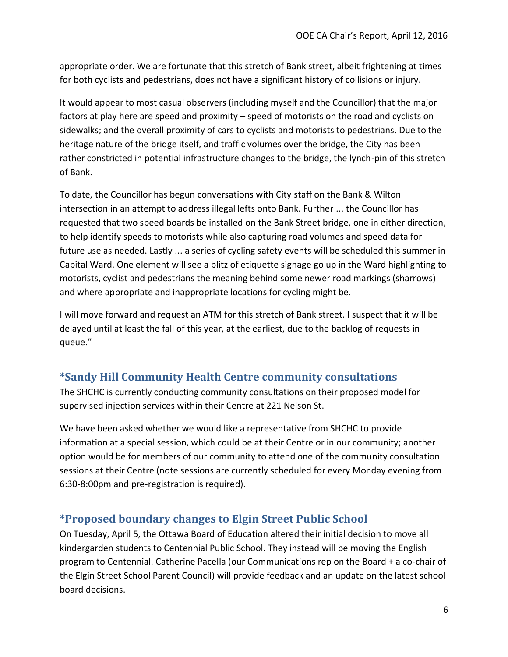appropriate order. We are fortunate that this stretch of Bank street, albeit frightening at times for both cyclists and pedestrians, does not have a significant history of collisions or injury.

It would appear to most casual observers (including myself and the Councillor) that the major factors at play here are speed and proximity – speed of motorists on the road and cyclists on sidewalks; and the overall proximity of cars to cyclists and motorists to pedestrians. Due to the heritage nature of the bridge itself, and traffic volumes over the bridge, the City has been rather constricted in potential infrastructure changes to the bridge, the lynch-pin of this stretch of Bank.

To date, the Councillor has begun conversations with City staff on the Bank & Wilton intersection in an attempt to address illegal lefts onto Bank. Further ... the Councillor has requested that two speed boards be installed on the Bank Street bridge, one in either direction, to help identify speeds to motorists while also capturing road volumes and speed data for future use as needed. Lastly ... a series of cycling safety events will be scheduled this summer in Capital Ward. One element will see a blitz of etiquette signage go up in the Ward highlighting to motorists, cyclist and pedestrians the meaning behind some newer road markings (sharrows) and where appropriate and inappropriate locations for cycling might be.

I will move forward and request an ATM for this stretch of Bank street. I suspect that it will be delayed until at least the fall of this year, at the earliest, due to the backlog of requests in queue."

## **\*Sandy Hill Community Health Centre community consultations**

The SHCHC is currently conducting community consultations on their proposed model for supervised injection services within their Centre at 221 Nelson St.

We have been asked whether we would like a representative from SHCHC to provide information at a special session, which could be at their Centre or in our community; another option would be for members of our community to attend one of the community consultation sessions at their Centre (note sessions are currently scheduled for every Monday evening from 6:30-8:00pm and pre-registration is required).

## **\*Proposed boundary changes to Elgin Street Public School**

On Tuesday, April 5, the Ottawa Board of Education altered their initial decision to move all kindergarden students to Centennial Public School. They instead will be moving the English program to Centennial. Catherine Pacella (our Communications rep on the Board + a co-chair of the Elgin Street School Parent Council) will provide feedback and an update on the latest school board decisions.